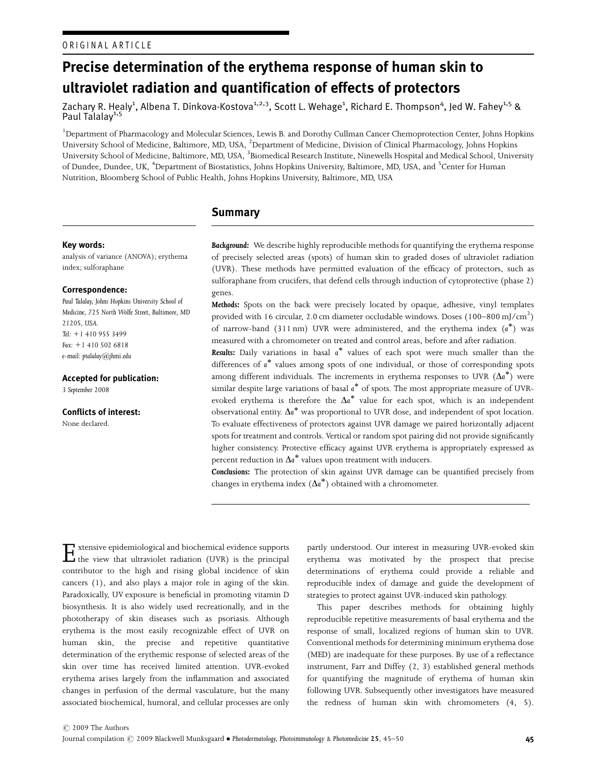# Precise determination of the erythema response of human skin to ultraviolet radiation and quantification of effects of protectors

Zachary R. Healy<sup>1</sup>, Albena T. Dinkova-Kostova<sup>1,2,3</sup>, Scott L. Wehage<sup>1</sup>, Richard E. Thompson<sup>4</sup>, Jed W. Fahey<sup>1,5</sup> & Paul Talalay<sup>1,5</sup>

<sup>1</sup>Department of Pharmacology and Molecular Sciences, Lewis B. and Dorothy Cullman Cancer Chemoprotection Center, Johns Hopkins University School of Medicine, Baltimore, MD, USA, <sup>2</sup>Department of Medicine, Division of Clinical Pharmacology, Johns Hopkins University School of Medicine, Baltimore, MD, USA,  $^3$ Biomedical Research Institute, Ninewells Hospital and Medical School, University of Dundee, Dundee, UK, <sup>4</sup>Department of Biostatistics, Johns Hopkins University, Baltimore, MD, USA, and <sup>5</sup>Center for Human Nutrition, Bloomberg School of Public Health, Johns Hopkins University, Baltimore, MD, USA

# **Summary**

## Key words:

analysis of variance (ANOVA); erythema index; sulforaphane

#### Correspondence:

Paul Talalay, Johns Hopkins University School of Medicine, 725 North Wolfe Street, Baltimore, MD 21205, USA. Tel:  $+1$  410 955 3499 Fax:  $+1$  410 502 6818 e-mail: ptalalay@jhmi.edu

#### Accepted for publication:

3 September 2008

Conflicts of interest: None declared.

Background: We describe highly reproducible methods for quantifying the erythema response of precisely selected areas (spots) of human skin to graded doses of ultraviolet radiation (UVR). These methods have permitted evaluation of the efficacy of protectors, such as sulforaphane from crucifers, that defend cells through induction of cytoprotective (phase 2) genes.

Methods: Spots on the back were precisely located by opaque, adhesive, vinyl templates provided with 16 circular, 2.0 cm diameter occludable windows. Doses  $(100-800\,\mathrm{mJ/cm}^2)$ of narrow-band (311 nm) UVR were administered, and the erythema index (a<sup>\*</sup>) was measured with a chromometer on treated and control areas, before and after radiation.

Results: Daily variations in basal a\* values of each spot were much smaller than the differences of a\* values among spots of one individual, or those of corresponding spots among different individuals. The increments in erythema responses to UVR  $(\Delta a^*)$  were similar despite large variations of basal  $\overline{a}^*$  of spots. The most appropriate measure of UVRevoked erythema is therefore the  $\Delta a^*$  value for each spot, which is an independent  $\overline{\text{a}}$  observational entity.  $\Delta a^*$  was proportional to UVR dose, and independent of spot location. To evaluate effectiveness of protectors against UVR damage we paired horizontally adjacent spots for treatment and controls. Vertical or random spot pairing did not provide significantly higher consistency. Protective efficacy against UVR erythema is appropriately expressed as percent reduction in  $\Delta a^*$  values upon treatment with inducers.

Conclusions: The protection of skin against UVR damage can be quantified precisely from changes in erythema index  $(\Delta a^*)$  obtained with a chromometer.

 $\Gamma$  xtensive epidemiological and biochemical evidence supports<br>the view that ultraviolet radiation (UVR) is the principal<br>the view that distribution is the principal contributor to the high and rising global incidence of skin cancers (1), and also plays a major role in aging of the skin. Paradoxically, UV exposure is beneficial in promoting vitamin D biosynthesis. It is also widely used recreationally, and in the phototherapy of skin diseases such as psoriasis. Although erythema is the most easily recognizable effect of UVR on human skin, the precise and repetitive quantitative determination of the erythemic response of selected areas of the skin over time has received limited attention. UVR-evoked erythema arises largely from the inflammation and associated changes in perfusion of the dermal vasculature, but the many associated biochemical, humoral, and cellular processes are only

partly understood. Our interest in measuring UVR-evoked skin erythema was motivated by the prospect that precise determinations of erythema could provide a reliable and reproducible index of damage and guide the development of strategies to protect against UVR-induced skin pathology.

This paper describes methods for obtaining highly reproducible repetitive measurements of basal erythema and the response of small, localized regions of human skin to UVR. Conventional methods for determining minimum erythema dose (MED) are inadequate for these purposes. By use of a reflectance instrument, Farr and Diffey (2, 3) established general methods for quantifying the magnitude of erythema of human skin following UVR. Subsequently other investigators have measured the redness of human skin with chromometers (4, 5).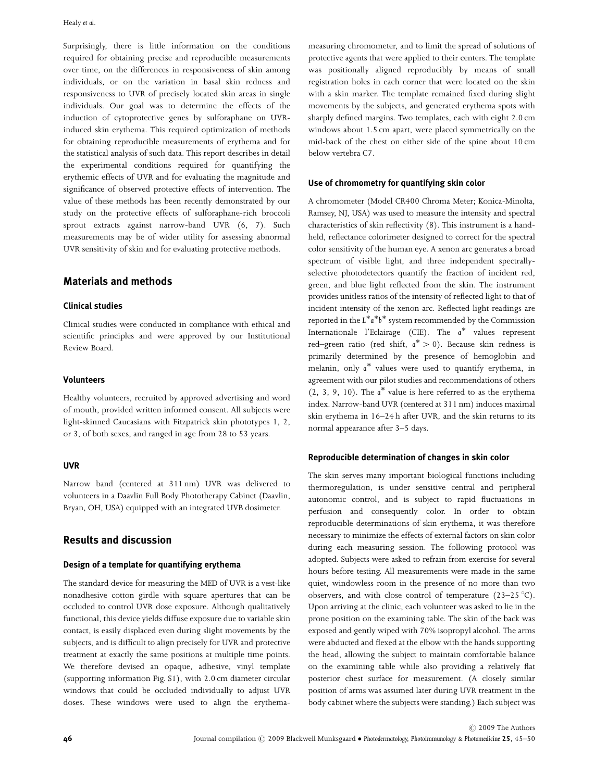Surprisingly, there is little information on the conditions required for obtaining precise and reproducible measurements over time, on the differences in responsiveness of skin among individuals, or on the variation in basal skin redness and responsiveness to UVR of precisely located skin areas in single individuals. Our goal was to determine the effects of the induction of cytoprotective genes by sulforaphane on UVRinduced skin erythema. This required optimization of methods for obtaining reproducible measurements of erythema and for the statistical analysis of such data. This report describes in detail the experimental conditions required for quantifying the erythemic effects of UVR and for evaluating the magnitude and significance of observed protective effects of intervention. The value of these methods has been recently demonstrated by our study on the protective effects of sulforaphane-rich broccoli sprout extracts against narrow-band UVR (6, 7). Such measurements may be of wider utility for assessing abnormal UVR sensitivity of skin and for evaluating protective methods.

# Materials and methods

## Clinical studies

Clinical studies were conducted in compliance with ethical and scientific principles and were approved by our Institutional Review Board.

## Volunteers

Healthy volunteers, recruited by approved advertising and word of mouth, provided written informed consent. All subjects were light-skinned Caucasians with Fitzpatrick skin phototypes 1, 2, or 3, of both sexes, and ranged in age from 28 to 53 years.

#### UVR

Narrow band (centered at 311 nm) UVR was delivered to volunteers in a Daavlin Full Body Phototherapy Cabinet (Daavlin, Bryan, OH, USA) equipped with an integrated UVB dosimeter.

## Results and discussion

## Design of a template for quantifying erythema

The standard device for measuring the MED of UVR is a vest-like nonadhesive cotton girdle with square apertures that can be occluded to control UVR dose exposure. Although qualitatively functional, this device yields diffuse exposure due to variable skin contact, is easily displaced even during slight movements by the subjects, and is difficult to align precisely for UVR and protective treatment at exactly the same positions at multiple time points. We therefore devised an opaque, adhesive, vinyl template (supporting information Fig. S1), with 2.0 cm diameter circular windows that could be occluded individually to adjust UVR doses. These windows were used to align the erythemameasuring chromometer, and to limit the spread of solutions of protective agents that were applied to their centers. The template was positionally aligned reproducibly by means of small registration holes in each corner that were located on the skin with a skin marker. The template remained fixed during slight movements by the subjects, and generated erythema spots with sharply defined margins. Two templates, each with eight 2.0 cm windows about 1.5 cm apart, were placed symmetrically on the mid-back of the chest on either side of the spine about 10 cm below vertebra C7.

#### Use of chromometry for quantifying skin color

A chromometer (Model CR400 Chroma Meter; Konica-Minolta, Ramsey, NJ, USA) was used to measure the intensity and spectral characteristics of skin reflectivity (8). This instrument is a handheld, reflectance colorimeter designed to correct for the spectral color sensitivity of the human eye. A xenon arc generates a broad spectrum of visible light, and three independent spectrallyselective photodetectors quantify the fraction of incident red, green, and blue light reflected from the skin. The instrument provides unitless ratios of the intensity of reflected light to that of incident intensity of the xenon arc. Reflected light readings are reported in the  $L^{\ast}a^{\ast}b^{\ast}$  system recommended by the Commission Internationale l'Eclairage (CIE). The a<sup>\*</sup> values represent red–green ratio (red shift,  $a^* > 0$ ). Because skin redness is primarily determined by the presence of hemoglobin and melanin, only a<sup>\*</sup> values were used to quantify erythema, in agreement with our pilot studies and recommendations of others  $(2, 3, 9, 10)$ . The  $a^*$  value is here referred to as the erythema index. Narrow-band UVR (centered at 311 nm) induces maximal skin erythema in 16–24 h after UVR, and the skin returns to its normal appearance after 3–5 days.

#### Reproducible determination of changes in skin color

The skin serves many important biological functions including thermoregulation, is under sensitive central and peripheral autonomic control, and is subject to rapid fluctuations in perfusion and consequently color. In order to obtain reproducible determinations of skin erythema, it was therefore necessary to minimize the effects of external factors on skin color during each measuring session. The following protocol was adopted. Subjects were asked to refrain from exercise for several hours before testing. All measurements were made in the same quiet, windowless room in the presence of no more than two observers, and with close control of temperature  $(23-25 \degree C)$ . Upon arriving at the clinic, each volunteer was asked to lie in the prone position on the examining table. The skin of the back was exposed and gently wiped with 70% isopropyl alcohol. The arms were abducted and flexed at the elbow with the hands supporting the head, allowing the subject to maintain comfortable balance on the examining table while also providing a relatively flat posterior chest surface for measurement. (A closely similar position of arms was assumed later during UVR treatment in the body cabinet where the subjects were standing.) Each subject was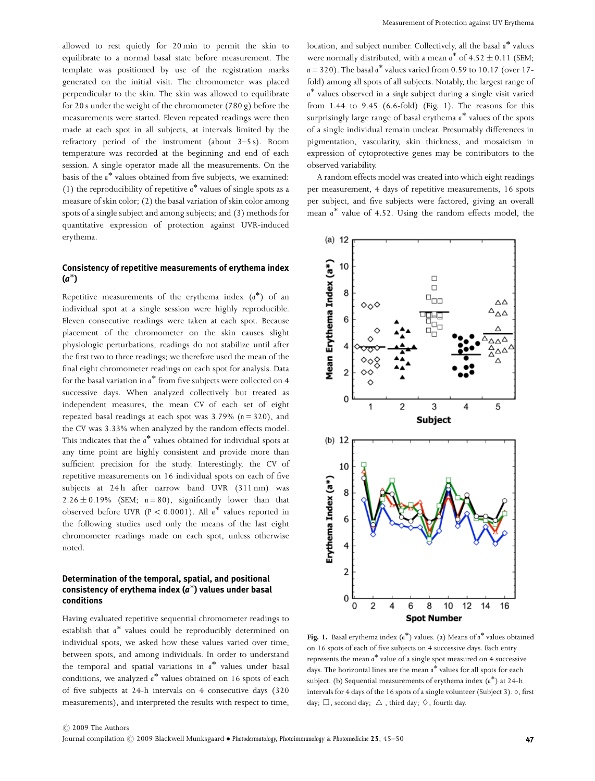allowed to rest quietly for 20 min to permit the skin to equilibrate to a normal basal state before measurement. The template was positioned by use of the registration marks generated on the initial visit. The chromometer was placed perpendicular to the skin. The skin was allowed to equilibrate for 20 s under the weight of the chromometer (780 g) before the measurements were started. Eleven repeated readings were then made at each spot in all subjects, at intervals limited by the refractory period of the instrument (about 3–5 s). Room temperature was recorded at the beginning and end of each session. A single operator made all the measurements. On the basis of the a<sup>\*</sup> values obtained from five subjects, we examined: (1) the reproducibility of repetitive  $a^*$  values of single spots as a measure of skin color; (2) the basal variation of skin color among spots of a single subject and among subjects; and (3) methods for quantitative expression of protection against UVR-induced erythema.

## Consistency of repetitive measurements of erythema index  $\overline{(a^*)}$

Repetitive measurements of the erythema index  $(a^*)$  of an individual spot at a single session were highly reproducible. Eleven consecutive readings were taken at each spot. Because placement of the chromometer on the skin causes slight physiologic perturbations, readings do not stabilize until after the first two to three readings; we therefore used the mean of the final eight chromometer readings on each spot for analysis. Data for the basal variation in  $a^*$  from five subjects were collected on 4 successive days. When analyzed collectively but treated as independent measures, the mean CV of each set of eight repeated basal readings at each spot was  $3.79\%$  (n = 320), and the CV was 3.33% when analyzed by the random effects model. This indicates that the  $\overline{a}^*$  values obtained for individual spots at any time point are highly consistent and provide more than sufficient precision for the study. Interestingly, the CV of repetitive measurements on 16 individual spots on each of five subjects at 24h after narrow band UVR (311 nm) was  $2.26 \pm 0.19\%$  (SEM;  $n = 80$ ), significantly lower than that observed before UVR ( $P < 0.0001$ ). All  $a^*$  values reported in the following studies used only the means of the last eight chromometer readings made on each spot, unless otherwise noted.

## Determination of the temporal, spatial, and positional  $z$  commutation of the componer, opening entries positional consistency of erythema index  $(a^*)$  values under basal conditions

Having evaluated repetitive sequential chromometer readings to establish that a - values could be reproducibly determined on individual spots, we asked how these values varied over time, between spots, and among individuals. In order to understand the temporal and spatial variations in  $a^*$  values under basal conditions, we analyzed a<sup>\*</sup> values obtained on 16 spots of each of five subjects at 24-h intervals on 4 consecutive days (320 measurements), and interpreted the results with respect to time,

location, and subject number. Collectively, all the basal  $a^*$  values were normally distributed, with a mean  $a^*$  of 4.52  $\pm$  0.11 (SEM;  $n = 320$ ). The basal  $a^*$  values varied from 0.59 to 10.17 (over 17fold) among all spots of all subjects. Notably, the largest range of a<sup>\*</sup> values observed in a single subject during a single visit varied from 1.44 to 9.45 (6.6-fold) (Fig. 1). The reasons for this surprisingly large range of basal erythema a\* values of the spots of a single individual remain unclear. Presumably differences in pigmentation, vascularity, skin thickness, and mosaicism in expression of cytoprotective genes may be contributors to the observed variability.

A random effects model was created into which eight readings per measurement, 4 days of repetitive measurements, 16 spots per subject, and five subjects were factored, giving an overall mean  $a^*$  value of 4.52. Using the random effects model, the



Fig. 1. Basal erythema index  $(a^*)$  values. (a) Means of  $a^*$  values obtained on 16 spots of each of five subjects on 4 successive days. Each entry represents the mean a - value of a single spot measured on 4 successive  $\frac{1}{4}$  days. The horizontal lines are the mean  $a^*$  values for all spots for each subject. (b) Sequential measurements of erythema index  $(a^*)$  at 24-h intervals for 4 days of the 16 spots of a single volunteer (Subject 3). o, first day;  $\Box$ , second day;  $\triangle$ , third day;  $\diamondsuit$ , fourth day.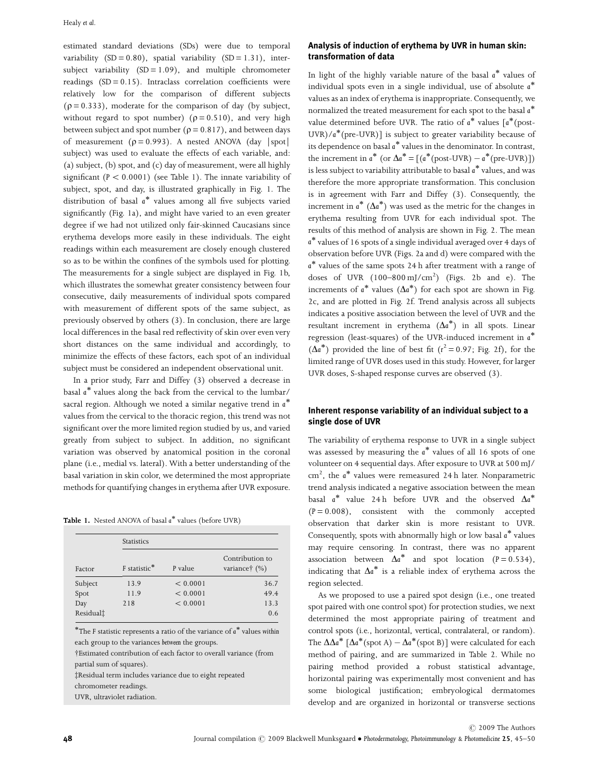estimated standard deviations (SDs) were due to temporal variability  $(SD = 0.80)$ , spatial variability  $(SD = 1.31)$ , intersubject variability  $(SD = 1.09)$ , and multiple chromometer readings  $(SD = 0.15)$ . Intraclass correlation coefficients were relatively low for the comparison of different subjects  $(p = 0.333)$ , moderate for the comparison of day (by subject, without regard to spot number) ( $\rho = 0.510$ ), and very high between subject and spot number ( $\rho = 0.817$ ), and between days of measurement ( $\rho = 0.993$ ). A nested ANOVA (day |spot| subject) was used to evaluate the effects of each variable, and: (a) subject, (b) spot, and (c) day of measurement, were all highly significant  $(P < 0.0001)$  (see Table 1). The innate variability of subject, spot, and day, is illustrated graphically in Fig. 1. The distribution of basal a - values among all five subjects varied significantly (Fig. 1a), and might have varied to an even greater degree if we had not utilized only fair-skinned Caucasians since erythema develops more easily in these individuals. The eight readings within each measurement are closely enough clustered so as to be within the confines of the symbols used for plotting. The measurements for a single subject are displayed in Fig. 1b, which illustrates the somewhat greater consistency between four consecutive, daily measurements of individual spots compared with measurement of different spots of the same subject, as previously observed by others (3). In conclusion, there are large local differences in the basal red reflectivity of skin over even very short distances on the same individual and accordingly, to minimize the effects of these factors, each spot of an individual subject must be considered an independent observational unit.

In a prior study, Farr and Diffey (3) observed a decrease in basal a<sup>\*</sup> values along the back from the cervical to the lumbar/ sacral region. Although we noted a similar negative trend in  $\mathfrak{a}^*$ values from the cervical to the thoracic region, this trend was not significant over the more limited region studied by us, and varied greatly from subject to subject. In addition, no significant variation was observed by anatomical position in the coronal plane (i.e., medial vs. lateral). With a better understanding of the basal variation in skin color, we determined the most appropriate methods for quantifying changes in erythema after UVR exposure.

| <b>Table 1.</b> Nested ANOVA of basal a* values (before UVR) |  |  |
|--------------------------------------------------------------|--|--|
|                                                              |  |  |

|                       | <b>Statistics</b> |          |                                                  |  |
|-----------------------|-------------------|----------|--------------------------------------------------|--|
| Factor                | F statistic*      | P value  | Contribution to<br>variance <sup>†</sup> $(\% )$ |  |
| Subject               | 13.9              | < 0.0001 | 36.7                                             |  |
| Spot                  | 11.9              | < 0.0001 | 49.4                                             |  |
| Day                   | 2.18              | < 0.0001 | 13.3                                             |  |
| Residual <sup>†</sup> |                   |          | 0.6                                              |  |

\*The F statistic represents a ratio of the variance of  $a^*$  values within each group to the variances between the groups.

†Estimated contribution of each factor to overall variance (from partial sum of squares).

zResidual term includes variance due to eight repeated

chromometer readings.

UVR, ultraviolet radiation.

## Analysis of induction of erythema by UVR in human skin: transformation of data

In light of the highly variable nature of the basal  $a^*$  values of individual spots even in a single individual, use of absolute a values as an index of erythema is inappropriate. Consequently, we normalized the treated measurement for each spot to the basal a\* value determined before UVR. The ratio of  $a^*$  values  $[a^*(post -$ UVR)/a<sup>\*</sup>(pre-UVR)] is subject to greater variability because of its dependence on basal a - values in the denominator. In contrast, the increment in  $a^*$  (or  $\Delta a^* = [(a^*(post-UVR) - a^*(pre-UVR))]$ ) is less subject to variability attributable to basal  $a^*$  values, and was therefore the more appropriate transformation. This conclusion is in agreement with Farr and Diffey (3). Consequently, the increment in  $a^*$  ( $\Delta a^*$ ) was used as the metric for the changes in erythema resulting from UVR for each individual spot. The results of this method of analysis are shown in Fig. 2. The mean a - values of 16 spots of a single individual averaged over 4 days of observation before UVR (Figs. 2a and d) were compared with the a<sup>\*</sup> values of the same spots 24 h after treatment with a range of doses of UVR  $(100-800 \text{ mJ/cm}^2)$  (Figs. 2b and e). The increments of  $a^*$  values  $(\Delta a^*)$  for each spot are shown in Fig. 2c, and are plotted in Fig. 2f. Trend analysis across all subjects indicates a positive association between the level of UVR and the resultant increment in erythema  $(\Delta a^*)$  in all spots. Linear regression (least-squares) of the UVR-induced increment in  $\alpha^*$  $(\Delta a^*)$  provided the line of best fit ( $r^2 = 0.97$ ; Fig. 2f), for the limited range of UVR doses used in this study. However, for larger UVR doses, S-shaped response curves are observed (3).

## Inherent response variability of an individual subject to a single dose of UVR

The variability of erythema response to UVR in a single subject was assessed by measuring the  $a^*$  values of all 16 spots of one volunteer on 4 sequential days. After exposure to UVR at 500 mJ/ cm<sup>2</sup>, the a<sup>\*</sup> values were remeasured 24 h later. Nonparametric trend analysis indicated a negative association between the mean basal  $a^*$  value 24 h before UVR and the observed  $\Delta a^*$  $(P = 0.008)$ , consistent with the commonly accepted observation that darker skin is more resistant to UVR. Consequently, spots with abnormally high or low basal  $a^*$  values may require censoring. In contrast, there was no apparent association between  $\Delta a^*$  and spot location (P = 0.534), indicating that  $\Delta a^*$  is a reliable index of erythema across the region selected.

As we proposed to use a paired spot design (i.e., one treated spot paired with one control spot) for protection studies, we next determined the most appropriate pairing of treatment and control spots (i.e., horizontal, vertical, contralateral, or random). The  $\Delta\Delta a^*$  [ $\Delta a^*$ (spot A) –  $\Delta a^*$ (spot B)] were calculated for each method of pairing, and are summarized in Table 2. While no pairing method provided a robust statistical advantage, horizontal pairing was experimentally most convenient and has some biological justification; embryological dermatomes develop and are organized in horizontal or transverse sections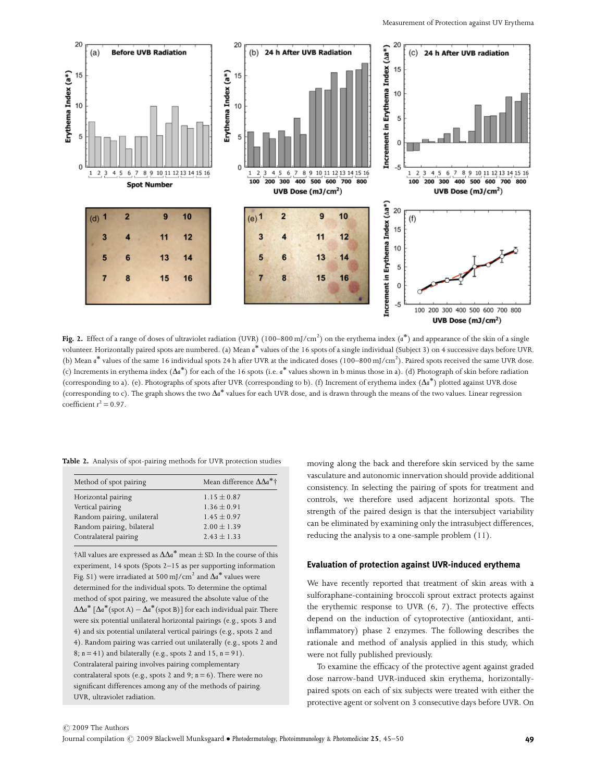

Fig. 2. Effect of a range of doses of ultraviolet radiation (UVR)  $(100-800\,\mathrm{mJ/cm^2})$  on the erythema index  $(a^*)$  and appearance of the skin of a single volunteer. Horizontally paired spots are numbered. (a) Mean a<sup>\*</sup> values of the 16 spots of a single individual (Subject 3) on 4 successive days before UVR. (b) Mean a<sup>\*</sup> values of the same 16 individual spots 24 h after UVR at the indicated doses (100–800 mJ/cm<sup>2</sup>). Paired spots received the same UVR dose. (c) Increments in erythema index  $(\Delta a^*)$  for each of the 16 spots (i.e.  $a^*$  values shown in b minus those in a). (d) Photograph of skin before radiation (corresponding to a). (e). Photographs of spots after UVR (corresponding to b). (f) Increment of erythema index  $(\Delta a^*)$  plotted against UVR dose (corresponding to c). The graph shows the two  $\Delta a^*$  values for each UVR dose, and is drawn through the means of the two values. Linear regression coefficient  $r^2 = 0.97$ .

Table 2. Analysis of spot-pairing methods for UVR protection studies

| Method of spot pairing     | Mean difference $\Delta\Delta a^*$ † |  |  |
|----------------------------|--------------------------------------|--|--|
| Horizontal pairing         | $1.15 \pm 0.87$                      |  |  |
| Vertical pairing           | $1.36 \pm 0.91$                      |  |  |
| Random pairing, unilateral | $1.45 \pm 0.97$                      |  |  |
| Random pairing, bilateral  | $2.00 \pm 1.39$                      |  |  |
| Contralateral pairing      | $2.43 \pm 1.33$                      |  |  |
|                            |                                      |  |  |

 $\dagger$ All values are expressed as  $\Delta\Delta a^*$  mean  $\pm$  SD. In the course of this experiment, 14 spots (Spots 2–15 as per supporting information Fig. S1) were irradiated at 500 mJ/cm<sup>2</sup> and  $\Delta a^*$  values were determined for the individual spots. To determine the optimal method of spot pairing, we measured the absolute value of the  $\Delta\Delta a^*$  [ $\Delta a^*$ (spot A)  $-\Delta a^*$ (spot B)] for each individual pair. There were six potential unilateral horizontal pairings (e.g., spots 3 and 4) and six potential unilateral vertical pairings (e.g., spots 2 and 4). Random pairing was carried out unilaterally (e.g., spots 2 and 8;  $n = 41$ ) and bilaterally (e.g., spots 2 and 15,  $n = 91$ ). Contralateral pairing involves pairing complementary contralateral spots (e.g., spots 2 and 9; n= 6). There were no significant differences among any of the methods of pairing. UVR, ultraviolet radiation.

moving along the back and therefore skin serviced by the same vasculature and autonomic innervation should provide additional consistency. In selecting the pairing of spots for treatment and controls, we therefore used adjacent horizontal spots. The strength of the paired design is that the intersubject variability can be eliminated by examining only the intrasubject differences, reducing the analysis to a one-sample problem (11).

## Evaluation of protection against UVR-induced erythema

We have recently reported that treatment of skin areas with a sulforaphane-containing broccoli sprout extract protects against the erythemic response to UVR (6, 7). The protective effects depend on the induction of cytoprotective (antioxidant, antiinflammatory) phase 2 enzymes. The following describes the rationale and method of analysis applied in this study, which were not fully published previously.

To examine the efficacy of the protective agent against graded dose narrow-band UVR-induced skin erythema, horizontallypaired spots on each of six subjects were treated with either the protective agent or solvent on 3 consecutive days before UVR. On